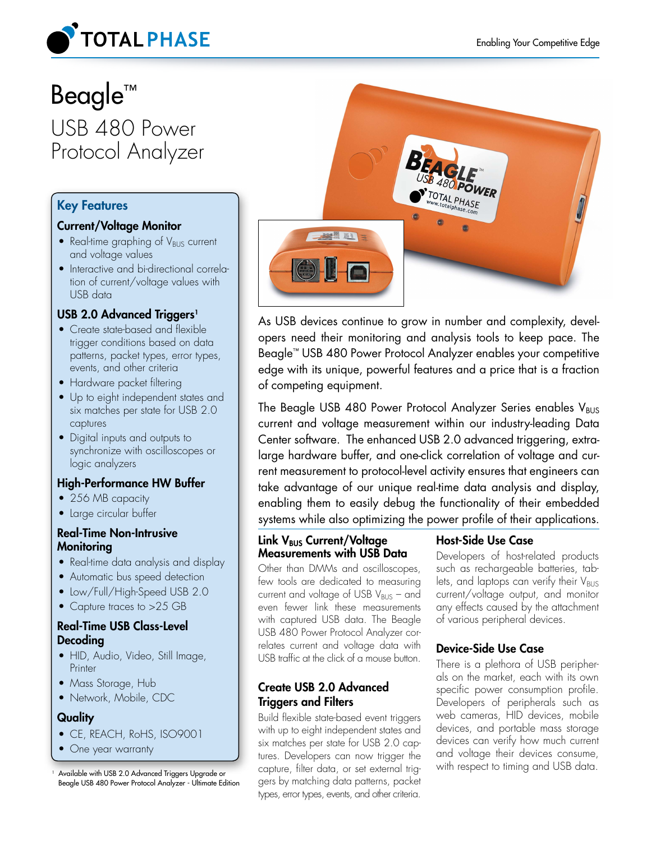

# Beagle™ USB 480 Power Protocol Analyzer

# Key Features

# Current/Voltage Monitor

- Real-time graphing of  $V_{\text{BUS}}$  current and voltage values
- Interactive and bi-directional correlation of current/voltage values with USB data

# USB 2.0 Advanced Triggers<sup>1</sup>

- Create state-based and flexible trigger conditions based on data patterns, packet types, error types, events, and other criteria
- Hardware packet filtering
- Up to eight independent states and six matches per state for USB 2.0 captures
- Digital inputs and outputs to synchronize with oscilloscopes or logic analyzers

# High-Performance HW Buffer

- 256 MB capacity
- Large circular buffer

# Real-Time Non-Intrusive **Monitoring**

- Real-time data analysis and display
- Automatic bus speed detection
- Low/Full/High-Speed USB 2.0
- Capture traces to >25 GB

# Real-Time USB Class-Level Decoding

- HID, Audio, Video, Still Image, **Printer**
- Mass Storage, Hub
- Network, Mobile, CDC

# **Quality**

- CE, REACH, RoHS, ISO9001
- One year warranty

Beagle USB 480 Power Protocol Analyzer - Ultimate Edition



As USB devices continue to grow in number and complexity, developers need their monitoring and analysis tools to keep pace. The Beagle™ USB 480 Power Protocol Analyzer enables your competitive edge with its unique, powerful features and a price that is a fraction of competing equipment.

The Beagle USB 480 Power Protocol Analyzer Series enables  $V_{\text{BUS}}$ current and voltage measurement within our industry-leading Data Center software. The enhanced USB 2.0 advanced triggering, extralarge hardware buffer, and one-click correlation of voltage and current measurement to protocol-level activity ensures that engineers can take advantage of our unique real-time data analysis and display, enabling them to easily debug the functionality of their embedded systems while also optimizing the power profile of their applications.

#### Link V<sub>BUS</sub> Current/Voltage Measurements with USB Data

Other than DMMs and oscilloscopes, few tools are dedicated to measuring current and voltage of USB  $V_{BUS}$  – and even fewer link these measurements with captured USB data. The Beagle USB 480 Power Protocol Analyzer correlates current and voltage data with USB traffic at the click of a mouse button.

# Create USB 2.0 Advanced Triggers and Filters

Build flexible state-based event triggers with up to eight independent states and six matches per state for USB 2.0 captures. Developers can now trigger the capture, filter data, or set external triggers by matching data patterns, packet types, error types, events, and other criteria. Available with USB 2.0 Advanced Triggers Upgrade or capture, filter data, or set external trig- with respect to timing and USB data.

# Host-Side Use Case

Developers of host-related products such as rechargeable batteries, tablets, and laptops can verify their  $V_{\text{BUS}}$ current/voltage output, and monitor any effects caused by the attachment of various peripheral devices.

# Device-Side Use Case

There is a plethora of USB peripherals on the market, each with its own specific power consumption profile. Developers of peripherals such as web cameras, HID devices, mobile devices, and portable mass storage devices can verify how much current and voltage their devices consume,